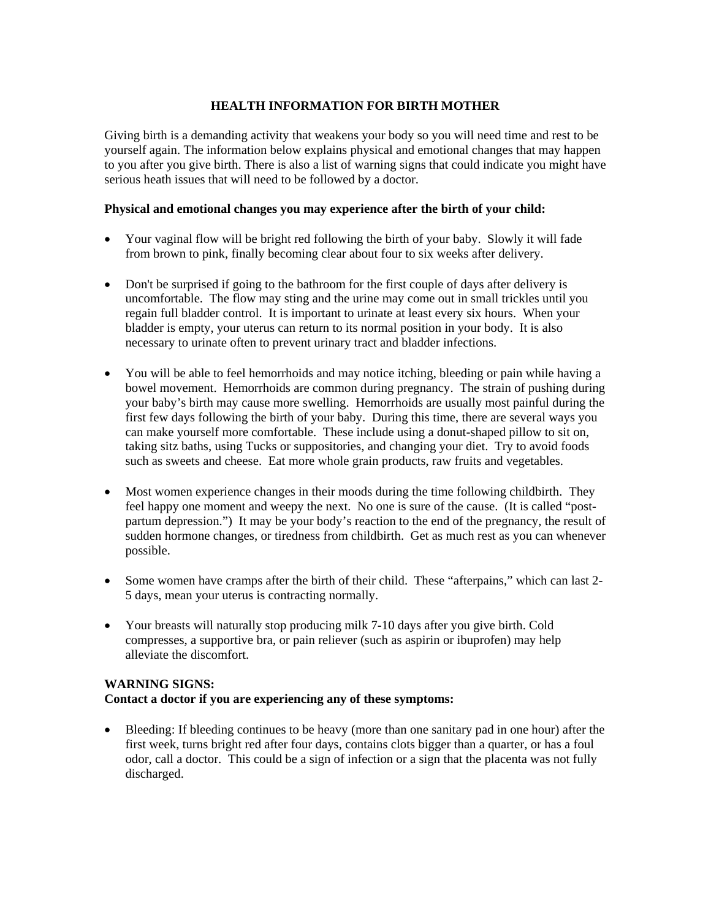## **HEALTH INFORMATION FOR BIRTH MOTHER**

Giving birth is a demanding activity that weakens your body so you will need time and rest to be yourself again. The information below explains physical and emotional changes that may happen to you after you give birth. There is also a list of warning signs that could indicate you might have serious heath issues that will need to be followed by a doctor.

## **Physical and emotional changes you may experience after the birth of your child:**

- Your vaginal flow will be bright red following the birth of your baby. Slowly it will fade from brown to pink, finally becoming clear about four to six weeks after delivery.
- Don't be surprised if going to the bathroom for the first couple of days after delivery is uncomfortable. The flow may sting and the urine may come out in small trickles until you regain full bladder control. It is important to urinate at least every six hours. When your bladder is empty, your uterus can return to its normal position in your body. It is also necessary to urinate often to prevent urinary tract and bladder infections.
- You will be able to feel hemorrhoids and may notice itching, bleeding or pain while having a bowel movement. Hemorrhoids are common during pregnancy. The strain of pushing during your baby's birth may cause more swelling. Hemorrhoids are usually most painful during the first few days following the birth of your baby. During this time, there are several ways you can make yourself more comfortable. These include using a donut-shaped pillow to sit on, taking sitz baths, using Tucks or suppositories, and changing your diet. Try to avoid foods such as sweets and cheese. Eat more whole grain products, raw fruits and vegetables.
- Most women experience changes in their moods during the time following childbirth. They feel happy one moment and weepy the next. No one is sure of the cause. (It is called "postpartum depression.") It may be your body's reaction to the end of the pregnancy, the result of sudden hormone changes, or tiredness from childbirth. Get as much rest as you can whenever possible.
- Some women have cramps after the birth of their child. These "afterpains," which can last 2- 5 days, mean your uterus is contracting normally.
- Your breasts will naturally stop producing milk 7-10 days after you give birth. Cold compresses, a supportive bra, or pain reliever (such as aspirin or ibuprofen) may help alleviate the discomfort.

## **WARNING SIGNS: Contact a doctor if you are experiencing any of these symptoms:**

 Bleeding: If bleeding continues to be heavy (more than one sanitary pad in one hour) after the first week, turns bright red after four days, contains clots bigger than a quarter, or has a foul odor, call a doctor. This could be a sign of infection or a sign that the placenta was not fully discharged.